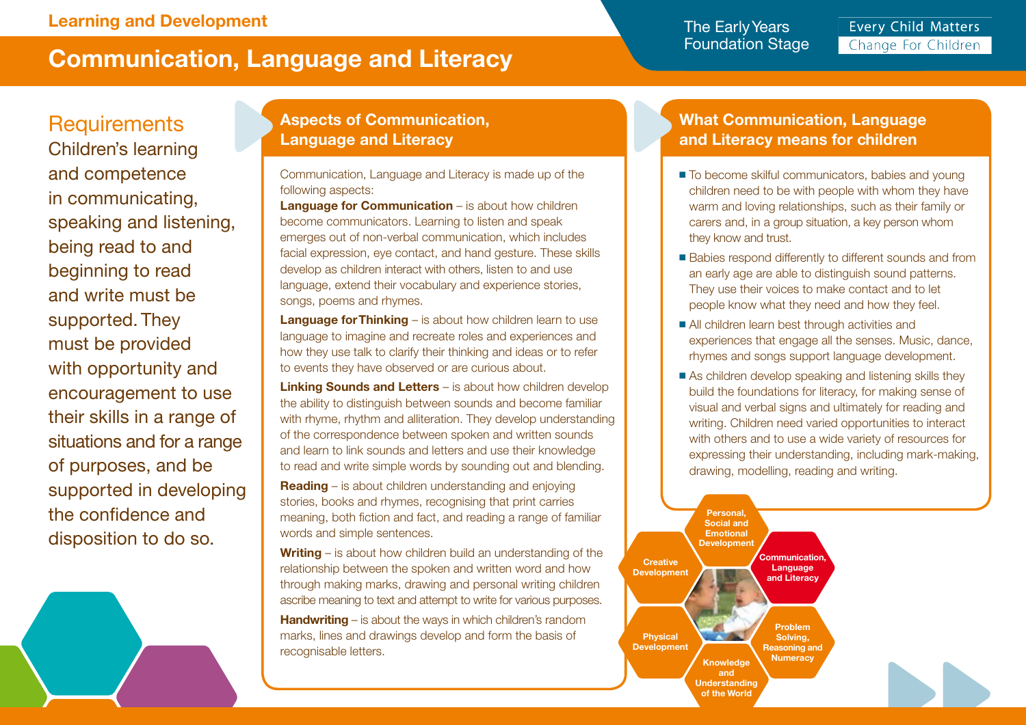# **Communication, Language and Literacy**

The Early Years Foundation Stage

**Every Child Matters** Change For Children

## **Requirements**

Children's learning and competence in communicating, speaking and listening, being read to and beginning to read and write must be supported. They must be provided with opportunity and encouragement to use their skills in a range of situations and for a range of purposes, and be supported in developing the confidence and disposition to do so.

#### **Aspects of Communication, Language and Literacy**

Communication, Language and Literacy is made up of the following aspects:

**Language for Communication** – is about how children become communicators. Learning to listen and speak emerges out of non-verbal communication, which includes facial expression, eye contact, and hand gesture. These skills develop as children interact with others, listen to and use language, extend their vocabulary and experience stories, songs, poems and rhymes.

**Language for Thinking** – is about how children learn to use language to imagine and recreate roles and experiences and how they use talk to clarify their thinking and ideas or to refer to events they have observed or are curious about.

**Linking Sounds and Letters** – is about how children develop the ability to distinguish between sounds and become familiar with rhyme, rhythm and alliteration. They develop understanding of the correspondence between spoken and written sounds and learn to link sounds and letters and use their knowledge to read and write simple words by sounding out and blending.

**Reading** – is about children understanding and enjoying stories, books and rhymes, recognising that print carries meaning, both fiction and fact, and reading a range of familiar words and simple sentences.

**Writing** – is about how children build an understanding of the relationship between the spoken and written word and how through making marks, drawing and personal writing children ascribe meaning to text and attempt to write for various purposes.

**Handwriting** – is about the ways in which children's random marks, lines and drawings develop and form the basis of recognisable letters.

#### **What Communication, Language and Literacy means for children**

- To become skilful communicators, babies and young children need to be with people with whom they have warm and loving relationships, such as their family or carers and, in a group situation, a key person whom they know and trust.
- Babies respond differently to different sounds and from an early age are able to distinguish sound patterns. They use their voices to make contact and to let people know what they need and how they feel.
- All children learn best through activities and experiences that engage all the senses. Music, dance, rhymes and songs support language development.
- As children develop speaking and listening skills they build the foundations for literacy, for making sense of visual and verbal signs and ultimately for reading and writing. Children need varied opportunities to interact with others and to use a wide variety of resources for expressing their understanding, including mark-making, drawing, modelling, reading and writing.